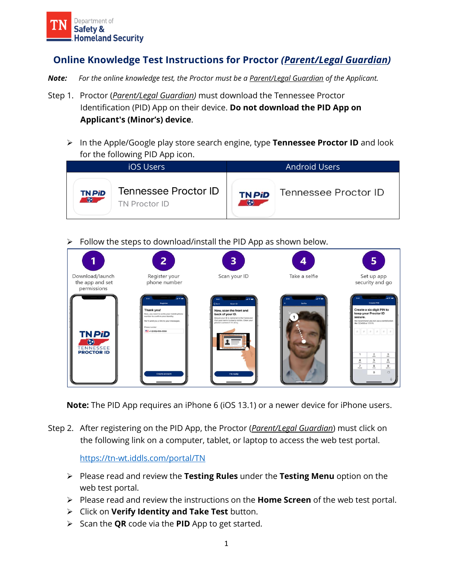

## **Online Knowledge Test Instructions for Proctor** *(Parent/Legal Guardian)*

- *Note:**For the online knowledge test, the Proctor must be a Parent/Legal Guardian of the Applicant.*
- Step 1. Proctor (*Parent/Legal Guardian)* must download the Tennessee Proctor Identification (PID) App on their device. **Do not download the PID App on Applicant's (Minor's) device**.
	- ➢ In the Apple/Google play store search engine, type **Tennessee Proctor ID** and look for the following PID App icon.



## Follow the steps to download/install the PID App as shown below.



**Note:** The PID App requires an iPhone 6 (iOS 13.1) or a newer device for iPhone users.

Step 2. After registering on the PID App, the Proctor (*Parent/Legal Guardian*) must click on the following link on a computer, tablet, or laptop to access the web test portal.

## <https://tn-wt.iddls.com/portal/TN>

- ➢ Please read and review the **Testing Rules** under the **Testing Menu** option on the web test portal.
- ➢ Please read and review the instructions on the **Home Screen** of the web test portal.
- ➢ Click on **Verify Identity and Take Test** button.
- ➢ Scan the **QR** code via the **PID** App to get started.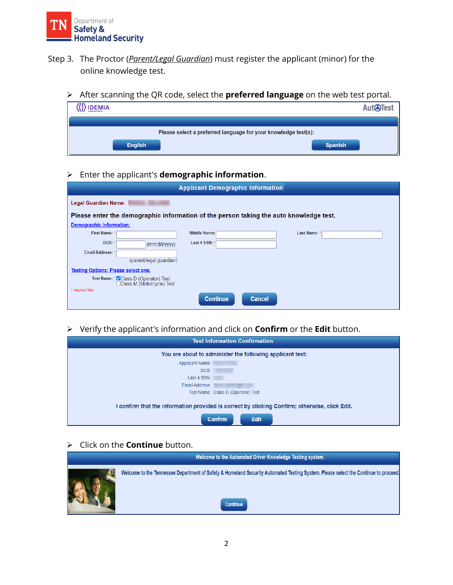

- Step 3. The Proctor (*Parent/Legal Guardian*) must register the applicant (minor) for the online knowledge test.
	- ➢ After scanning the QR code, select the **preferred language** on the web test portal.

| <b>IDEMIA</b>                                                  | <b>AUTGUEST</b> |
|----------------------------------------------------------------|-----------------|
| Please select a preferred language for your knowledge test(s): |                 |
| <b>English</b>                                                 | <b>Spanish</b>  |

## ➢ Enter the applicant's **demographic information**.

| <b>Applicant Demographic Information</b>                                               |                                                                     |                     |               |            |  |
|----------------------------------------------------------------------------------------|---------------------------------------------------------------------|---------------------|---------------|------------|--|
| <b>Legal Guardian Name:</b>                                                            |                                                                     |                     |               |            |  |
| Please enter the demographic information of the person taking the auto knowledge test. |                                                                     |                     |               |            |  |
| <b>Demographic Information:</b>                                                        |                                                                     |                     |               |            |  |
| First Name: *                                                                          |                                                                     | <b>Middle Name:</b> |               | Last Name: |  |
| DOB:                                                                                   | (mm/dd/yyyy)                                                        | Last 4 SSN: *       |               |            |  |
| <b>Email Address:</b> *                                                                |                                                                     |                     |               |            |  |
|                                                                                        | (parent/legal quardian)                                             |                     |               |            |  |
| <b>Testing Options: Please select one.</b>                                             |                                                                     |                     |               |            |  |
|                                                                                        | Test Name: * ZClass D (Operator) Test<br>□Class M (Motorcycle) Test |                     |               |            |  |
| * required field                                                                       |                                                                     |                     |               |            |  |
|                                                                                        |                                                                     | <b>Continue</b>     | <b>Cancel</b> |            |  |

➢ Verify the applicant's information and click on **Confirm** or the **Edit** button.

| <b>Test Information Confirmation</b>                                                           |
|------------------------------------------------------------------------------------------------|
| You are about to administer the following applicant test:                                      |
| <b>Applicant Name:</b>                                                                         |
| DOB:                                                                                           |
| Last 4 SSN:                                                                                    |
| Email Address:                                                                                 |
| Test Name: Class D (Operator) Test                                                             |
| l confirm that the information provided is correct by clicking Confirm; otherwise, click Edit. |
| <b>Edit</b><br><b>Confirm</b>                                                                  |

➢ Click on the **Continue** button.